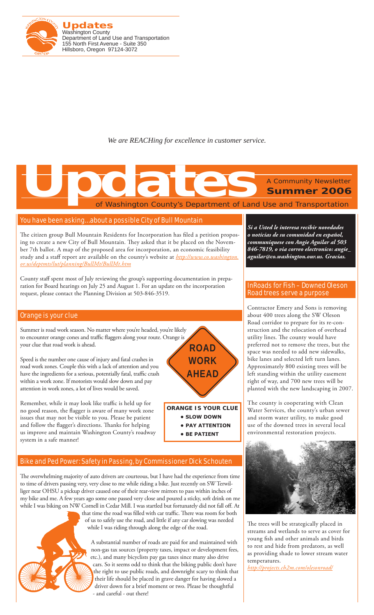

*We are REACHing for excellence in customer service.*

# of Washington County's Department of Land Use and Transportation A Community Newsletter **Summer 2006 Updates**<br>
The Construction County's Department of Land

## You have been asking… about a possible City of Bull Mountain

The citizen group Bull Mountain Residents for Incorporation has filed a petition proposing to create a new City of Bull Mountain. They asked that it be placed on the November 7th ballot. A map of the proposed area for incorporation, an economic feasibility study and a staff report are available on the county's website at *http://www.co.washington. or.us/deptmts/lut/planning/BullMt/BullMt.htm*

County staff spent most of July reviewing the group's supporting documentation in preparation for Board hearings on July 25 and August 1. For an update on the incorporation request, please contact the Planning Division at 503-846-3519.

### Orange is your clue

Summer is road work season. No matter where you're headed, you're likely to encounter orange cones and traffic flaggers along your route. Orange is your clue that road work is ahead.

Speed is the number one cause of injury and fatal crashes in road work zones. Couple this with a lack of attention and you have the ingredients for a serious, potentially fatal, traffic crash within a work zone. If motorists would slow down and pay attention in work zones, a lot of lives would be saved.

Remember, while it may look like traffic is held up for no good reason, the flagger is aware of many work zone issues that may not be visible to you. Please be patient and follow the flagger's directions. Thanks for helping us improve and maintain Washington County's roadway system in a safe manner!

## Bike and Ped Power: Safety in Passing, by Commissioner Dick Schouten

The overwhelming majority of auto drivers are courteous, but I have had the experience from time to time of drivers passing very, very close to me while riding a bike. Just recently on SW Terwilliger near OHSU a pickup driver caused one of their rear-view mirrors to pass within inches of my bike and me. A few years ago some one passed very close and poured a sticky, soft drink on me while I was biking on NW Cornell in Cedar Mill. I was startled but fortunately did not fall off. At

that time the road was filled with car traffic. There was room for both of us to safely use the road, and little if any car slowing was needed while I was riding through along the edge of the road.



A substantial number of roads are paid for and maintained with non-gas tax sources (property taxes, impact or development fees, etc.), and many bicyclists pay gas taxes since many also drive cars. So it seems odd to think that the biking public don't have the right to use public roads, and downright scary to think that their life should be placed in grave danger for having slowed a driver down for a brief moment or two. Please be thoughtful - and careful - out there!



*Si a Usted le interesa recibir novedades o noticias de su comunidad en español, communiquese con Angie Aguilar al 503 846-7819, o via correo electronico: angie\_ aguilar@co.washington.our.us. Gracias.*

Contractor Emery and Sons is removing about 400 trees along the SW Oleson Road corridor to prepare for its re-construction and the relocation of overhead utility lines. The county would have preferred not to remove the trees, but the space was needed to add new sidewalks, bike lanes and selected left turn lanes. Approximately 800 existing trees will be left standing within the utility easement right of way, and 700 new trees will be planted with the new landscaping in 2007.

The county is cooperating with Clean Water Services, the county's urban sewer and storm water utility, to make good use of the downed trees in several local environmental restoration projects.



The trees will be strategically placed in streams and wetlands to serve as cover for young fish and other animals and birds to rest and hide from predators, as well as providing shade to lower stream water temperatures.

*http://projects.ch2m.com/olesonroad/*



**• slow down • pay attention • be patient**